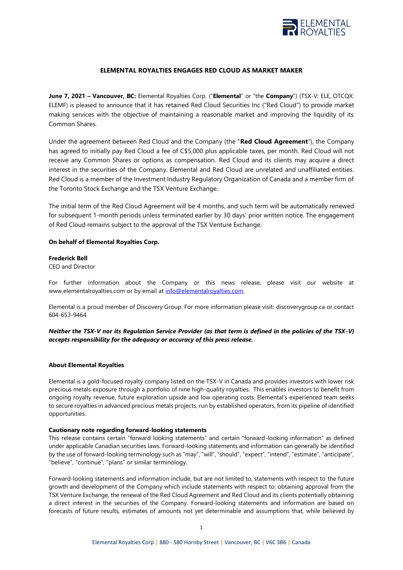

# **ELEMENTAL ROYALTIES ENGAGES RED CLOUD AS MARKET MAKER**

**June 7, 2021 – Vancouver, BC:** Elemental Royalties Corp. ("**Elemental**" or "the **Company**") (TSX-V: ELE, OTCQX: ELEMF) is pleased to announce that it has retained Red Cloud Securities Inc ("Red Cloud") to provide market making services with the objective of maintaining a reasonable market and improving the liquidity of its Common Shares.

Under the agreement between Red Cloud and the Company (the "**Red Cloud Agreement**"), the Company has agreed to initially pay Red Cloud a fee of C\$5,000 plus applicable taxes, per month. Red Cloud will not receive any Common Shares or options as compensation. Red Cloud and its clients may acquire a direct interest in the securities of the Company. Elemental and Red Cloud are unrelated and unaffiliated entities. Red Cloud is a member of the Investment Industry Regulatory Organization of Canada and a member firm of the Toronto Stock Exchange and the TSX Venture Exchange.

The initial term of the Red Cloud Agreement will be 4 months, and such term will be automatically renewed for subsequent 1-month periods unless terminated earlier by 30 days' prior written notice. The engagement of Red Cloud remains subject to the approval of the TSX Venture Exchange.

### **On behalf of Elemental Royalties Corp.**

### **Frederick Bell**

CEO and Director

For further information about the Company or this news release, please visit our website at www.elementalroyalties.com or by email at [info@elementalroyalties.com.](mailto:info@elementalroyalties.com)

Elemental is a proud member of Discovery Group. For more information please visit: discoverygroup.ca or contact 604-653-9464.

## *Neither the TSX-V nor its Regulation Service Provider (as that term is defined in the policies of the TSX-V) accepts responsibility for the adequacy or accuracy of this press release.*

### **About Elemental Royalties**

Elemental is a gold-focused royalty company listed on the TSX-V in Canada and provides investors with lower risk precious metals exposure through a portfolio of nine high-quality royalties. This enables investors to benefit from ongoing royalty revenue, future exploration upside and low operating costs. Elemental's experienced team seeks to secure royalties in advanced precious metals projects, run by established operators, from its pipeline of identified opportunities.

### **Cautionary note regarding forward-looking statements**

This release contains certain "forward looking statements" and certain "forward-looking information" as defined under applicable Canadian securities laws. Forward-looking statements and information can generally be identified by the use of forward-looking terminology such as "may", "will", "should", "expect", "intend", "estimate", "anticipate", "believe", "continue", "plans" or similar terminology.

Forward-looking statements and information include, but are not limited to, statements with respect to the future growth and development of the Company which include statements with respect to: obtaining approval from the TSX Venture Exchange, the renewal of the Red Cloud Agreement and Red Cloud and its clients potentially obtaining a direct interest in the securities of the Company. Forward-looking statements and information are based on forecasts of future results, estimates of amounts not yet determinable and assumptions that, while believed by